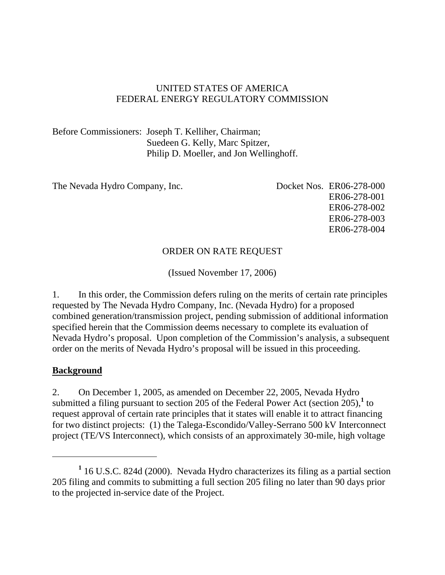## UNITED STATES OF AMERICA FEDERAL ENERGY REGULATORY COMMISSION

Before Commissioners: Joseph T. Kelliher, Chairman; Suedeen G. Kelly, Marc Spitzer, Philip D. Moeller, and Jon Wellinghoff.

The Nevada Hydro Company, Inc. Docket Nos. ER06-278-000

ER06-278-001 ER06-278-002 ER06-278-003 ER06-278-004

## ORDER ON RATE REQUEST

(Issued November 17, 2006)

1. In this order, the Commission defers ruling on the merits of certain rate principles requested by The Nevada Hydro Company, Inc. (Nevada Hydro) for a proposed combined generation/transmission project, pending submission of additional information specified herein that the Commission deems necessary to complete its evaluation of Nevada Hydro's proposal. Upon completion of the Commission's analysis, a subsequent order on the merits of Nevada Hydro's proposal will be issued in this proceeding.

## **Background**

 $\overline{a}$ 

2. On December 1, 2005, as amended on December 22, 2005, Nevada Hydro submitted a filing pursuant to section 205 of the Federal Power Act (section  $205$ ),<sup>1</sup> to request approval of certain rate principles that it states will enable it to attract financing for two distinct projects: (1) the Talega-Escondido/Valley-Serrano 500 kV Interconnect project (TE/VS Interconnect), which consists of an approximately 30-mile, high voltage

<sup>&</sup>lt;sup>1</sup> 16 U.S.C. 824d (2000). Nevada Hydro characterizes its filing as a partial section 205 filing and commits to submitting a full section 205 filing no later than 90 days prior to the projected in-service date of the Project.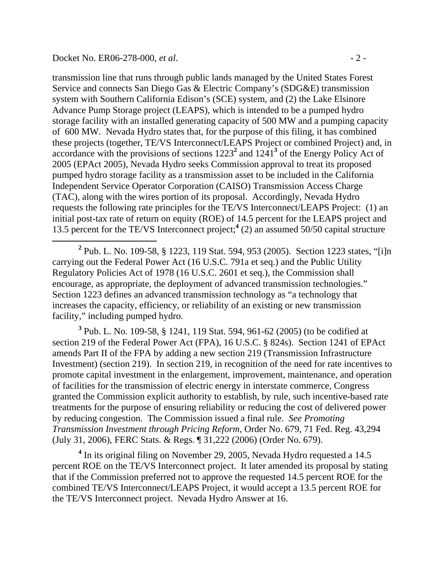transmission line that runs through public lands managed by the United States Forest Service and connects San Diego Gas & Electric Company's (SDG&E) transmission system with Southern California Edison's (SCE) system, and (2) the Lake Elsinore Advance Pump Storage project (LEAPS), which is intended to be a pumped hydro storage facility with an installed generating capacity of 500 MW and a pumping capacity of 600 MW. Nevada Hydro states that, for the purpose of this filing, it has combined these projects (together, TE/VS Interconnect/LEAPS Project or combined Project) and, in accordance with the provisions of sections  $1223^2$  and  $1241^3$  of the Energy Policy Act of 2005 (EPAct 2005), Nevada Hydro seeks Commission approval to treat its proposed pumped hydro storage facility as a transmission asset to be included in the California Independent Service Operator Corporation (CAISO) Transmission Access Charge (TAC), along with the wires portion of its proposal. Accordingly, Nevada Hydro requests the following rate principles for the TE/VS Interconnect/LEAPS Project: (1) an initial post-tax rate of return on equity (ROE) of 14.5 percent for the LEAPS project and 13.5 percent for the TE/VS Interconnect project;**<sup>4</sup>** (2) an assumed 50/50 capital structure

 **<sup>2</sup>** <sup>2</sup> Pub. L. No. 109-58, § 1223, 119 Stat. 594, 953 (2005). Section 1223 states, "[i]n carrying out the Federal Power Act (16 U.S.C. 791a et seq.) and the Public Utility Regulatory Policies Act of 1978 (16 U.S.C. 2601 et seq.), the Commission shall encourage, as appropriate, the deployment of advanced transmission technologies." Section 1223 defines an advanced transmission technology as "a technology that increases the capacity, efficiency, or reliability of an existing or new transmission facility," including pumped hydro.

**3** Pub. L. No. 109-58, § 1241, 119 Stat. 594, 961-62 (2005) (to be codified at section 219 of the Federal Power Act (FPA), 16 U.S.C. § 824s). Section 1241 of EPAct amends Part II of the FPA by adding a new section 219 (Transmission Infrastructure Investment) (section 219). In section 219, in recognition of the need for rate incentives to promote capital investment in the enlargement, improvement, maintenance, and operation of facilities for the transmission of electric energy in interstate commerce, Congress granted the Commission explicit authority to establish, by rule, such incentive-based rate treatments for the purpose of ensuring reliability or reducing the cost of delivered power by reducing congestion. The Commission issued a final rule. *See Promoting Transmission Investment through Pricing Reform*, Order No. 679, 71 Fed. Reg. 43,294 (July 31, 2006), FERC Stats. & Regs. ¶ 31,222 (2006) (Order No. 679).

<sup>4</sup> In its original filing on November 29, 2005, Nevada Hydro requested a 14.5 percent ROE on the TE/VS Interconnect project. It later amended its proposal by stating that if the Commission preferred not to approve the requested 14.5 percent ROE for the combined TE/VS Interconnect/LEAPS Project, it would accept a 13.5 percent ROE for the TE/VS Interconnect project. Nevada Hydro Answer at 16.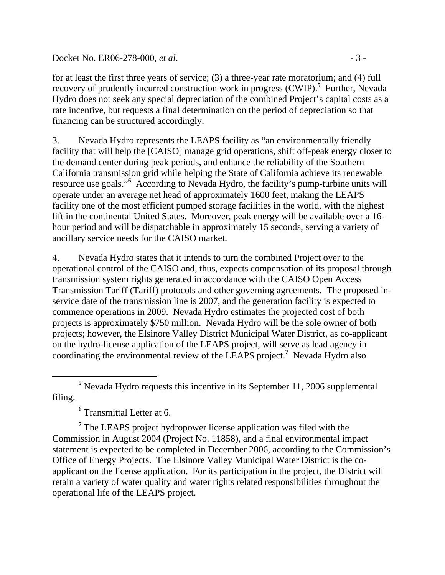#### Docket No. ER06-278-000, *et al.* - 3 -

for at least the first three years of service; (3) a three-year rate moratorium; and (4) full recovery of prudently incurred construction work in progress (CWIP).<sup>5</sup> Further, Nevada Hydro does not seek any special depreciation of the combined Project's capital costs as a rate incentive, but requests a final determination on the period of depreciation so that financing can be structured accordingly.

3. Nevada Hydro represents the LEAPS facility as "an environmentally friendly facility that will help the [CAISO] manage grid operations, shift off-peak energy closer to the demand center during peak periods, and enhance the reliability of the Southern California transmission grid while helping the State of California achieve its renewable resource use goals."<sup>6</sup> According to Nevada Hydro, the facility's pump-turbine units will operate under an average net head of approximately 1600 feet, making the LEAPS facility one of the most efficient pumped storage facilities in the world, with the highest lift in the continental United States. Moreover, peak energy will be available over a 16 hour period and will be dispatchable in approximately 15 seconds, serving a variety of ancillary service needs for the CAISO market.

4. Nevada Hydro states that it intends to turn the combined Project over to the operational control of the CAISO and, thus, expects compensation of its proposal through transmission system rights generated in accordance with the CAISO Open Access Transmission Tariff (Tariff) protocols and other governing agreements. The proposed inservice date of the transmission line is 2007, and the generation facility is expected to commence operations in 2009. Nevada Hydro estimates the projected cost of both projects is approximately \$750 million. Nevada Hydro will be the sole owner of both projects; however, the Elsinore Valley District Municipal Water District, as co-applicant on the hydro-license application of the LEAPS project, will serve as lead agency in coordinating the environmental review of the LEAPS project.**<sup>7</sup>** Nevada Hydro also

**6** Transmittal Letter at 6.

<sup>7</sup> The LEAPS project hydropower license application was filed with the Commission in August 2004 (Project No. 11858), and a final environmental impact statement is expected to be completed in December 2006, according to the Commission's Office of Energy Projects. The Elsinore Valley Municipal Water District is the coapplicant on the license application. For its participation in the project, the District will retain a variety of water quality and water rights related responsibilities throughout the operational life of the LEAPS project.

**<sup>5</sup>** <sup>5</sup> Nevada Hydro requests this incentive in its September 11, 2006 supplemental filing.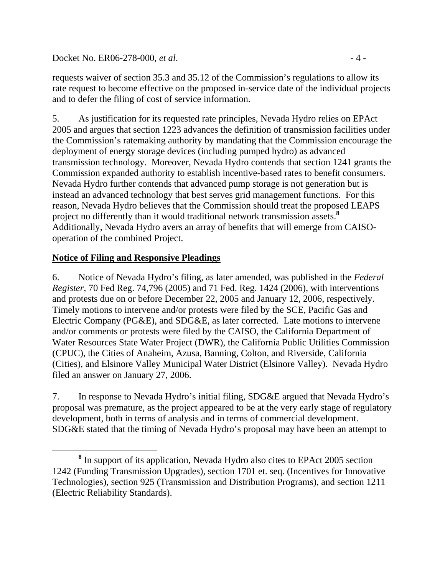Docket No. ER06-278-000, *et al.* - 4 -

requests waiver of section 35.3 and 35.12 of the Commission's regulations to allow its rate request to become effective on the proposed in-service date of the individual projects and to defer the filing of cost of service information.

5. As justification for its requested rate principles, Nevada Hydro relies on EPAct 2005 and argues that section 1223 advances the definition of transmission facilities under the Commission's ratemaking authority by mandating that the Commission encourage the deployment of energy storage devices (including pumped hydro) as advanced transmission technology. Moreover, Nevada Hydro contends that section 1241 grants the Commission expanded authority to establish incentive-based rates to benefit consumers. Nevada Hydro further contends that advanced pump storage is not generation but is instead an advanced technology that best serves grid management functions. For this reason, Nevada Hydro believes that the Commission should treat the proposed LEAPS project no differently than it would traditional network transmission assets.**<sup>8</sup>** Additionally, Nevada Hydro avers an array of benefits that will emerge from CAISOoperation of the combined Project.

## **Notice of Filing and Responsive Pleadings**

6. Notice of Nevada Hydro's filing, as later amended, was published in the *Federal Register*, 70 Fed Reg. 74,796 (2005) and 71 Fed. Reg. 1424 (2006), with interventions and protests due on or before December 22, 2005 and January 12, 2006, respectively. Timely motions to intervene and/or protests were filed by the SCE, Pacific Gas and Electric Company (PG&E), and SDG&E, as later corrected. Late motions to intervene and/or comments or protests were filed by the CAISO, the California Department of Water Resources State Water Project (DWR), the California Public Utilities Commission (CPUC), the Cities of Anaheim, Azusa, Banning, Colton, and Riverside, California (Cities), and Elsinore Valley Municipal Water District (Elsinore Valley). Nevada Hydro filed an answer on January 27, 2006.

7. In response to Nevada Hydro's initial filing, SDG&E argued that Nevada Hydro's proposal was premature, as the project appeared to be at the very early stage of regulatory development, both in terms of analysis and in terms of commercial development. SDG&E stated that the timing of Nevada Hydro's proposal may have been an attempt to

**<sup>8</sup>** <sup>8</sup> In support of its application, Nevada Hydro also cites to EPAct 2005 section 1242 (Funding Transmission Upgrades), section 1701 et. seq. (Incentives for Innovative Technologies), section 925 (Transmission and Distribution Programs), and section 1211 (Electric Reliability Standards).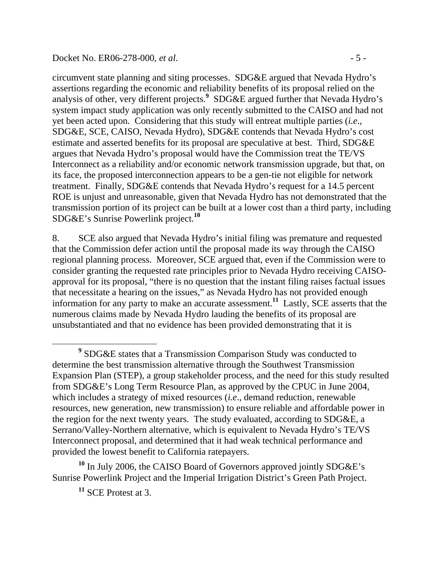#### Docket No. ER06-278-000, *et al.*  $\frac{1}{2}$  = 5 -

circumvent state planning and siting processes. SDG&E argued that Nevada Hydro's assertions regarding the economic and reliability benefits of its proposal relied on the analysis of other, very different projects.**<sup>9</sup>** SDG&E argued further that Nevada Hydro's system impact study application was only recently submitted to the CAISO and had not yet been acted upon. Considering that this study will entreat multiple parties (*i.e*., SDG&E, SCE, CAISO, Nevada Hydro), SDG&E contends that Nevada Hydro's cost estimate and asserted benefits for its proposal are speculative at best. Third, SDG&E argues that Nevada Hydro's proposal would have the Commission treat the TE/VS Interconnect as a reliability and/or economic network transmission upgrade, but that, on its face, the proposed interconnection appears to be a gen-tie not eligible for network treatment. Finally, SDG&E contends that Nevada Hydro's request for a 14.5 percent ROE is unjust and unreasonable, given that Nevada Hydro has not demonstrated that the transmission portion of its project can be built at a lower cost than a third party, including SDG&E's Sunrise Powerlink project.**<sup>10</sup>**

8. SCE also argued that Nevada Hydro's initial filing was premature and requested that the Commission defer action until the proposal made its way through the CAISO regional planning process. Moreover, SCE argued that, even if the Commission were to consider granting the requested rate principles prior to Nevada Hydro receiving CAISOapproval for its proposal, "there is no question that the instant filing raises factual issues that necessitate a hearing on the issues," as Nevada Hydro has not provided enough information for any party to make an accurate assessment.**<sup>11</sup>** Lastly, SCE asserts that the numerous claims made by Nevada Hydro lauding the benefits of its proposal are unsubstantiated and that no evidence has been provided demonstrating that it is

**<sup>10</sup>** In July 2006, the CAISO Board of Governors approved jointly SDG&E's Sunrise Powerlink Project and the Imperial Irrigation District's Green Path Project.

**<sup>11</sup>** SCE Protest at 3.

**<sup>9</sup>** SDG&E states that a Transmission Comparison Study was conducted to determine the best transmission alternative through the Southwest Transmission Expansion Plan (STEP), a group stakeholder process, and the need for this study resulted from SDG&E's Long Term Resource Plan, as approved by the CPUC in June 2004, which includes a strategy of mixed resources (*i.e*., demand reduction, renewable resources, new generation, new transmission) to ensure reliable and affordable power in the region for the next twenty years. The study evaluated, according to SDG&E, a Serrano/Valley-Northern alternative, which is equivalent to Nevada Hydro's TE/VS Interconnect proposal, and determined that it had weak technical performance and provided the lowest benefit to California ratepayers.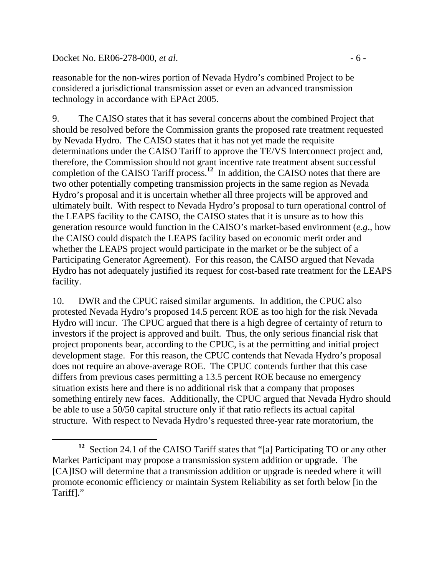Docket No. ER06-278-000, *et al.* - 6 -

reasonable for the non-wires portion of Nevada Hydro's combined Project to be considered a jurisdictional transmission asset or even an advanced transmission technology in accordance with EPAct 2005.

9. The CAISO states that it has several concerns about the combined Project that should be resolved before the Commission grants the proposed rate treatment requested by Nevada Hydro. The CAISO states that it has not yet made the requisite determinations under the CAISO Tariff to approve the TE/VS Interconnect project and, therefore, the Commission should not grant incentive rate treatment absent successful completion of the CAISO Tariff process.**<sup>12</sup>** In addition, the CAISO notes that there are two other potentially competing transmission projects in the same region as Nevada Hydro's proposal and it is uncertain whether all three projects will be approved and ultimately built. With respect to Nevada Hydro's proposal to turn operational control of the LEAPS facility to the CAISO, the CAISO states that it is unsure as to how this generation resource would function in the CAISO's market-based environment (*e.g*., how the CAISO could dispatch the LEAPS facility based on economic merit order and whether the LEAPS project would participate in the market or be the subject of a Participating Generator Agreement). For this reason, the CAISO argued that Nevada Hydro has not adequately justified its request for cost-based rate treatment for the LEAPS facility.

10. DWR and the CPUC raised similar arguments. In addition, the CPUC also protested Nevada Hydro's proposed 14.5 percent ROE as too high for the risk Nevada Hydro will incur. The CPUC argued that there is a high degree of certainty of return to investors if the project is approved and built. Thus, the only serious financial risk that project proponents bear, according to the CPUC, is at the permitting and initial project development stage. For this reason, the CPUC contends that Nevada Hydro's proposal does not require an above-average ROE. The CPUC contends further that this case differs from previous cases permitting a 13.5 percent ROE because no emergency situation exists here and there is no additional risk that a company that proposes something entirely new faces. Additionally, the CPUC argued that Nevada Hydro should be able to use a 50/50 capital structure only if that ratio reflects its actual capital structure. With respect to Nevada Hydro's requested three-year rate moratorium, the

**<sup>12</sup>** Section 24.1 of the CAISO Tariff states that "[a] Participating TO or any other Market Participant may propose a transmission system addition or upgrade. The [CA]ISO will determine that a transmission addition or upgrade is needed where it will promote economic efficiency or maintain System Reliability as set forth below [in the Tariff]."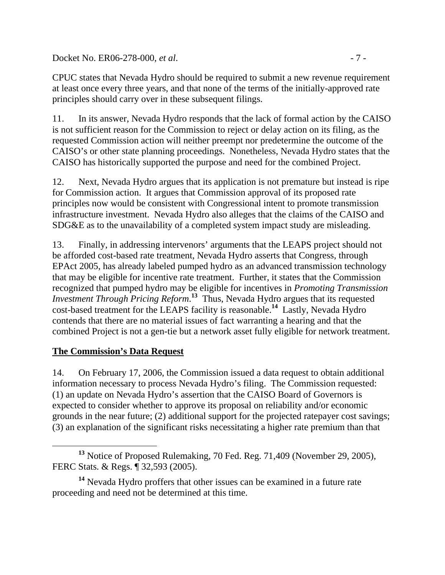Docket No. ER06-278-000, *et al.* - 7 -

CPUC states that Nevada Hydro should be required to submit a new revenue requirement at least once every three years, and that none of the terms of the initially-approved rate principles should carry over in these subsequent filings.

11. In its answer, Nevada Hydro responds that the lack of formal action by the CAISO is not sufficient reason for the Commission to reject or delay action on its filing, as the requested Commission action will neither preempt nor predetermine the outcome of the CAISO's or other state planning proceedings. Nonetheless, Nevada Hydro states that the CAISO has historically supported the purpose and need for the combined Project.

12. Next, Nevada Hydro argues that its application is not premature but instead is ripe for Commission action. It argues that Commission approval of its proposed rate principles now would be consistent with Congressional intent to promote transmission infrastructure investment. Nevada Hydro also alleges that the claims of the CAISO and SDG&E as to the unavailability of a completed system impact study are misleading.

13. Finally, in addressing intervenors' arguments that the LEAPS project should not be afforded cost-based rate treatment, Nevada Hydro asserts that Congress, through EPAct 2005, has already labeled pumped hydro as an advanced transmission technology that may be eligible for incentive rate treatment. Further, it states that the Commission recognized that pumped hydro may be eligible for incentives in *Promoting Transmission Investment Through Pricing Reform*. **<sup>13</sup>** Thus, Nevada Hydro argues that its requested cost-based treatment for the LEAPS facility is reasonable.**<sup>14</sup>** Lastly, Nevada Hydro contends that there are no material issues of fact warranting a hearing and that the combined Project is not a gen-tie but a network asset fully eligible for network treatment.

## **The Commission's Data Request**

14. On February 17, 2006, the Commission issued a data request to obtain additional information necessary to process Nevada Hydro's filing. The Commission requested: (1) an update on Nevada Hydro's assertion that the CAISO Board of Governors is expected to consider whether to approve its proposal on reliability and/or economic grounds in the near future; (2) additional support for the projected ratepayer cost savings; (3) an explanation of the significant risks necessitating a higher rate premium than that

**<sup>13</sup>** Notice of Proposed Rulemaking, 70 Fed. Reg. 71,409 (November 29, 2005), FERC Stats. & Regs. ¶ 32,593 (2005).

**<sup>14</sup>** Nevada Hydro proffers that other issues can be examined in a future rate proceeding and need not be determined at this time.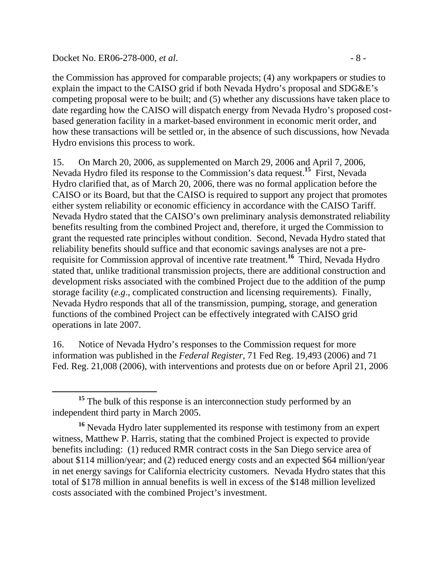#### Docket No. ER06-278-000, *et al.* - 8 -

the Commission has approved for comparable projects; (4) any workpapers or studies to explain the impact to the CAISO grid if both Nevada Hydro's proposal and SDG&E's competing proposal were to be built; and (5) whether any discussions have taken place to date regarding how the CAISO will dispatch energy from Nevada Hydro's proposed costbased generation facility in a market-based environment in economic merit order, and how these transactions will be settled or, in the absence of such discussions, how Nevada Hydro envisions this process to work.

15. On March 20, 2006, as supplemented on March 29, 2006 and April 7, 2006, Nevada Hydro filed its response to the Commission's data request.**<sup>15</sup>** First, Nevada Hydro clarified that, as of March 20, 2006, there was no formal application before the CAISO or its Board, but that the CAISO is required to support any project that promotes either system reliability or economic efficiency in accordance with the CAISO Tariff. Nevada Hydro stated that the CAISO's own preliminary analysis demonstrated reliability benefits resulting from the combined Project and, therefore, it urged the Commission to grant the requested rate principles without condition. Second, Nevada Hydro stated that reliability benefits should suffice and that economic savings analyses are not a prerequisite for Commission approval of incentive rate treatment.**<sup>16</sup>** Third, Nevada Hydro stated that, unlike traditional transmission projects, there are additional construction and development risks associated with the combined Project due to the addition of the pump storage facility (*e.g*., complicated construction and licensing requirements). Finally, Nevada Hydro responds that all of the transmission, pumping, storage, and generation functions of the combined Project can be effectively integrated with CAISO grid operations in late 2007.

16. Notice of Nevada Hydro's responses to the Commission request for more information was published in the *Federal Register*, 71 Fed Reg. 19,493 (2006) and 71 Fed. Reg. 21,008 (2006), with interventions and protests due on or before April 21, 2006

<sup>&</sup>lt;sup>15</sup> The bulk of this response is an interconnection study performed by an independent third party in March 2005.

**<sup>16</sup>** Nevada Hydro later supplemented its response with testimony from an expert witness, Matthew P. Harris, stating that the combined Project is expected to provide benefits including: (1) reduced RMR contract costs in the San Diego service area of about \$114 million/year; and (2) reduced energy costs and an expected \$64 million/year in net energy savings for California electricity customers. Nevada Hydro states that this total of \$178 million in annual benefits is well in excess of the \$148 million levelized costs associated with the combined Project's investment.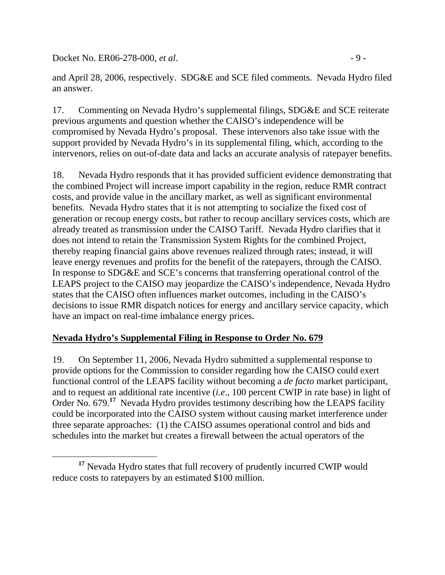Docket No. ER06-278-000, *et al.* - 9 -

and April 28, 2006, respectively. SDG&E and SCE filed comments. Nevada Hydro filed an answer.

17. Commenting on Nevada Hydro's supplemental filings, SDG&E and SCE reiterate previous arguments and question whether the CAISO's independence will be compromised by Nevada Hydro's proposal. These intervenors also take issue with the support provided by Nevada Hydro's in its supplemental filing, which, according to the intervenors, relies on out-of-date data and lacks an accurate analysis of ratepayer benefits.

18. Nevada Hydro responds that it has provided sufficient evidence demonstrating that the combined Project will increase import capability in the region, reduce RMR contract costs, and provide value in the ancillary market, as well as significant environmental benefits. Nevada Hydro states that it is not attempting to socialize the fixed cost of generation or recoup energy costs, but rather to recoup ancillary services costs, which are already treated as transmission under the CAISO Tariff. Nevada Hydro clarifies that it does not intend to retain the Transmission System Rights for the combined Project, thereby reaping financial gains above revenues realized through rates; instead, it will leave energy revenues and profits for the benefit of the ratepayers, through the CAISO. In response to SDG&E and SCE's concerns that transferring operational control of the LEAPS project to the CAISO may jeopardize the CAISO's independence, Nevada Hydro states that the CAISO often influences market outcomes, including in the CAISO's decisions to issue RMR dispatch notices for energy and ancillary service capacity, which have an impact on real-time imbalance energy prices.

## **Nevada Hydro's Supplemental Filing in Response to Order No. 679**

19. On September 11, 2006, Nevada Hydro submitted a supplemental response to provide options for the Commission to consider regarding how the CAISO could exert functional control of the LEAPS facility without becoming a *de facto* market participant, and to request an additional rate incentive (*i.e*., 100 percent CWIP in rate base) in light of Order No. 679.<sup>17</sup> Nevada Hydro provides testimony describing how the LEAPS facility could be incorporated into the CAISO system without causing market interference under three separate approaches: (1) the CAISO assumes operational control and bids and schedules into the market but creates a firewall between the actual operators of the

**<sup>17</sup>** Nevada Hydro states that full recovery of prudently incurred CWIP would reduce costs to ratepayers by an estimated \$100 million.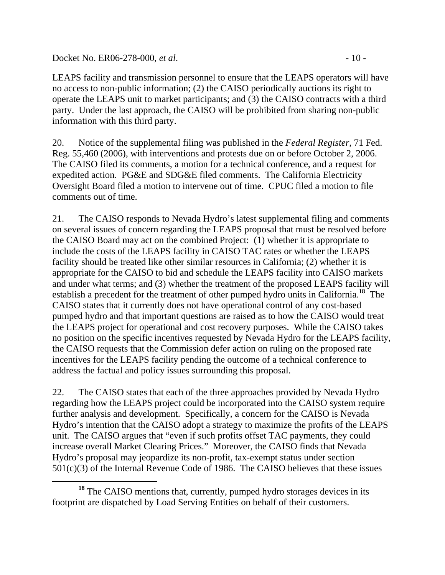Docket No. ER06-278-000, *et al.* - 10 -

LEAPS facility and transmission personnel to ensure that the LEAPS operators will have no access to non-public information; (2) the CAISO periodically auctions its right to operate the LEAPS unit to market participants; and (3) the CAISO contracts with a third party. Under the last approach, the CAISO will be prohibited from sharing non-public information with this third party.

20. Notice of the supplemental filing was published in the *Federal Register*, 71 Fed. Reg. 55,460 (2006), with interventions and protests due on or before October 2, 2006. The CAISO filed its comments, a motion for a technical conference, and a request for expedited action. PG&E and SDG&E filed comments. The California Electricity Oversight Board filed a motion to intervene out of time. CPUC filed a motion to file comments out of time.

21. The CAISO responds to Nevada Hydro's latest supplemental filing and comments on several issues of concern regarding the LEAPS proposal that must be resolved before the CAISO Board may act on the combined Project: (1) whether it is appropriate to include the costs of the LEAPS facility in CAISO TAC rates or whether the LEAPS facility should be treated like other similar resources in California; (2) whether it is appropriate for the CAISO to bid and schedule the LEAPS facility into CAISO markets and under what terms; and (3) whether the treatment of the proposed LEAPS facility will establish a precedent for the treatment of other pumped hydro units in California.**<sup>18</sup>** The CAISO states that it currently does not have operational control of any cost-based pumped hydro and that important questions are raised as to how the CAISO would treat the LEAPS project for operational and cost recovery purposes. While the CAISO takes no position on the specific incentives requested by Nevada Hydro for the LEAPS facility, the CAISO requests that the Commission defer action on ruling on the proposed rate incentives for the LEAPS facility pending the outcome of a technical conference to address the factual and policy issues surrounding this proposal.

22. The CAISO states that each of the three approaches provided by Nevada Hydro regarding how the LEAPS project could be incorporated into the CAISO system require further analysis and development. Specifically, a concern for the CAISO is Nevada Hydro's intention that the CAISO adopt a strategy to maximize the profits of the LEAPS unit. The CAISO argues that "even if such profits offset TAC payments, they could increase overall Market Clearing Prices." Moreover, the CAISO finds that Nevada Hydro's proposal may jeopardize its non-profit, tax-exempt status under section 501(c)(3) of the Internal Revenue Code of 1986. The CAISO believes that these issues

**<sup>18</sup>** The CAISO mentions that, currently, pumped hydro storages devices in its footprint are dispatched by Load Serving Entities on behalf of their customers.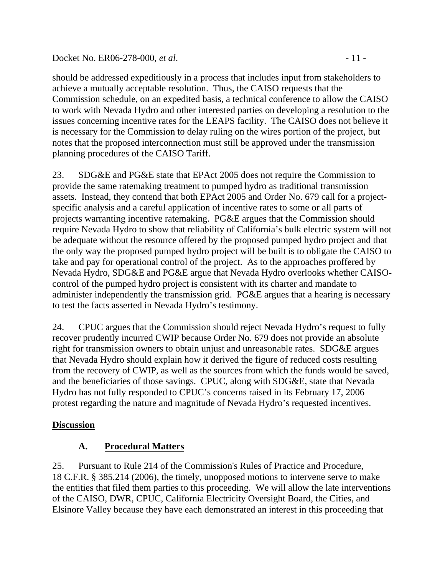#### Docket No. ER06-278-000, *et al.* - 11 -

should be addressed expeditiously in a process that includes input from stakeholders to achieve a mutually acceptable resolution. Thus, the CAISO requests that the Commission schedule, on an expedited basis, a technical conference to allow the CAISO to work with Nevada Hydro and other interested parties on developing a resolution to the issues concerning incentive rates for the LEAPS facility. The CAISO does not believe it is necessary for the Commission to delay ruling on the wires portion of the project, but notes that the proposed interconnection must still be approved under the transmission planning procedures of the CAISO Tariff.

23. SDG&E and PG&E state that EPAct 2005 does not require the Commission to provide the same ratemaking treatment to pumped hydro as traditional transmission assets. Instead, they contend that both EPAct 2005 and Order No. 679 call for a projectspecific analysis and a careful application of incentive rates to some or all parts of projects warranting incentive ratemaking. PG&E argues that the Commission should require Nevada Hydro to show that reliability of California's bulk electric system will not be adequate without the resource offered by the proposed pumped hydro project and that the only way the proposed pumped hydro project will be built is to obligate the CAISO to take and pay for operational control of the project. As to the approaches proffered by Nevada Hydro, SDG&E and PG&E argue that Nevada Hydro overlooks whether CAISOcontrol of the pumped hydro project is consistent with its charter and mandate to administer independently the transmission grid. PG&E argues that a hearing is necessary to test the facts asserted in Nevada Hydro's testimony.

24. CPUC argues that the Commission should reject Nevada Hydro's request to fully recover prudently incurred CWIP because Order No. 679 does not provide an absolute right for transmission owners to obtain unjust and unreasonable rates. SDG&E argues that Nevada Hydro should explain how it derived the figure of reduced costs resulting from the recovery of CWIP, as well as the sources from which the funds would be saved, and the beneficiaries of those savings. CPUC, along with SDG&E, state that Nevada Hydro has not fully responded to CPUC's concerns raised in its February 17, 2006 protest regarding the nature and magnitude of Nevada Hydro's requested incentives.

## **Discussion**

## **A. Procedural Matters**

25. Pursuant to Rule 214 of the Commission's Rules of Practice and Procedure, 18 C.F.R. § 385.214 (2006), the timely, unopposed motions to intervene serve to make the entities that filed them parties to this proceeding. We will allow the late interventions of the CAISO, DWR, CPUC, California Electricity Oversight Board, the Cities, and Elsinore Valley because they have each demonstrated an interest in this proceeding that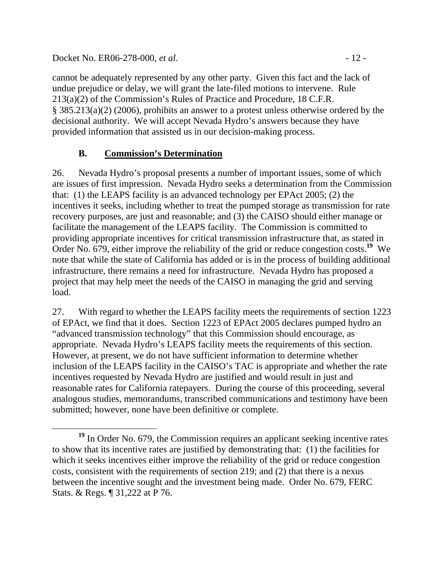Docket No. ER06-278-000, *et al.* - 12 -

cannot be adequately represented by any other party. Given this fact and the lack of undue prejudice or delay, we will grant the late-filed motions to intervene. Rule 213(a)(2) of the Commission's Rules of Practice and Procedure, 18 C.F.R. § 385.213(a)(2) (2006), prohibits an answer to a protest unless otherwise ordered by the decisional authority. We will accept Nevada Hydro's answers because they have provided information that assisted us in our decision-making process.

# **B. Commission's Determination**

26. Nevada Hydro's proposal presents a number of important issues, some of which are issues of first impression. Nevada Hydro seeks a determination from the Commission that: (1) the LEAPS facility is an advanced technology per EPAct 2005; (2) the incentives it seeks, including whether to treat the pumped storage as transmission for rate recovery purposes, are just and reasonable; and (3) the CAISO should either manage or facilitate the management of the LEAPS facility. The Commission is committed to providing appropriate incentives for critical transmission infrastructure that, as stated in Order No. 679, either improve the reliability of the grid or reduce congestion costs.**<sup>19</sup>** We note that while the state of California has added or is in the process of building additional infrastructure, there remains a need for infrastructure. Nevada Hydro has proposed a project that may help meet the needs of the CAISO in managing the grid and serving load.

27. With regard to whether the LEAPS facility meets the requirements of section 1223 of EPAct, we find that it does. Section 1223 of EPAct 2005 declares pumped hydro an "advanced transmission technology" that this Commission should encourage, as appropriate. Nevada Hydro's LEAPS facility meets the requirements of this section. However, at present, we do not have sufficient information to determine whether inclusion of the LEAPS facility in the CAISO's TAC is appropriate and whether the rate incentives requested by Nevada Hydro are justified and would result in just and reasonable rates for California ratepayers. During the course of this proceeding, several analogous studies, memorandums, transcribed communications and testimony have been submitted; however, none have been definitive or complete.

**<sup>19</sup>** In Order No. 679, the Commission requires an applicant seeking incentive rates to show that its incentive rates are justified by demonstrating that: (1) the facilities for which it seeks incentives either improve the reliability of the grid or reduce congestion costs, consistent with the requirements of section 219; and (2) that there is a nexus between the incentive sought and the investment being made. Order No. 679, FERC Stats. & Regs. ¶ 31,222 at P 76.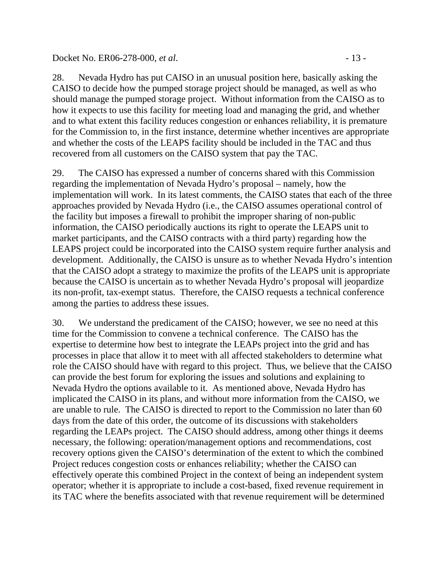#### Docket No. ER06-278-000, *et al.* - 13 -

28. Nevada Hydro has put CAISO in an unusual position here, basically asking the CAISO to decide how the pumped storage project should be managed, as well as who should manage the pumped storage project. Without information from the CAISO as to how it expects to use this facility for meeting load and managing the grid, and whether and to what extent this facility reduces congestion or enhances reliability, it is premature for the Commission to, in the first instance, determine whether incentives are appropriate and whether the costs of the LEAPS facility should be included in the TAC and thus recovered from all customers on the CAISO system that pay the TAC.

29. The CAISO has expressed a number of concerns shared with this Commission regarding the implementation of Nevada Hydro's proposal – namely, how the implementation will work. In its latest comments, the CAISO states that each of the three approaches provided by Nevada Hydro (i.e., the CAISO assumes operational control of the facility but imposes a firewall to prohibit the improper sharing of non-public information, the CAISO periodically auctions its right to operate the LEAPS unit to market participants, and the CAISO contracts with a third party) regarding how the LEAPS project could be incorporated into the CAISO system require further analysis and development. Additionally, the CAISO is unsure as to whether Nevada Hydro's intention that the CAISO adopt a strategy to maximize the profits of the LEAPS unit is appropriate because the CAISO is uncertain as to whether Nevada Hydro's proposal will jeopardize its non-profit, tax-exempt status. Therefore, the CAISO requests a technical conference among the parties to address these issues.

30. We understand the predicament of the CAISO; however, we see no need at this time for the Commission to convene a technical conference. The CAISO has the expertise to determine how best to integrate the LEAPs project into the grid and has processes in place that allow it to meet with all affected stakeholders to determine what role the CAISO should have with regard to this project. Thus, we believe that the CAISO can provide the best forum for exploring the issues and solutions and explaining to Nevada Hydro the options available to it. As mentioned above, Nevada Hydro has implicated the CAISO in its plans, and without more information from the CAISO, we are unable to rule. The CAISO is directed to report to the Commission no later than 60 days from the date of this order, the outcome of its discussions with stakeholders regarding the LEAPs project. The CAISO should address, among other things it deems necessary, the following: operation/management options and recommendations, cost recovery options given the CAISO's determination of the extent to which the combined Project reduces congestion costs or enhances reliability; whether the CAISO can effectively operate this combined Project in the context of being an independent system operator; whether it is appropriate to include a cost-based, fixed revenue requirement in its TAC where the benefits associated with that revenue requirement will be determined